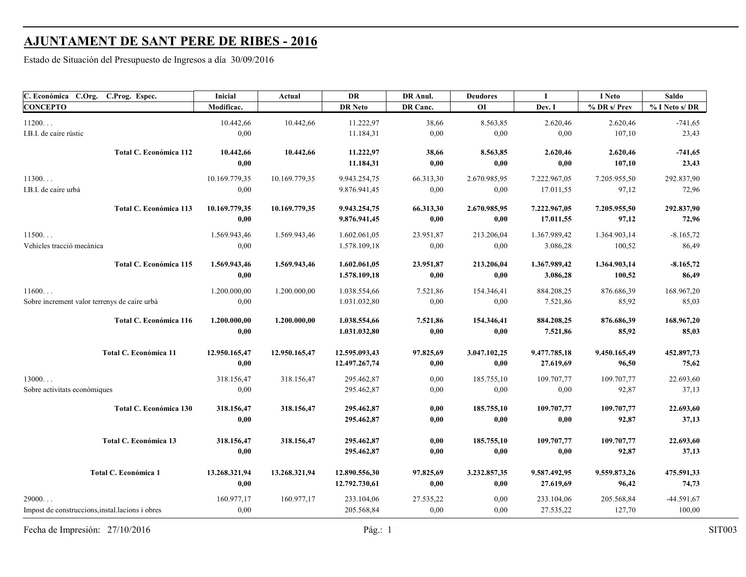Estado de Situación del Presupuesto de Ingresos a día  $30/09/2016$ 

| C. Económica C.Org. C.Prog. Espec.                        | Inicial               | Actual        | <b>DR</b>                    | DR Anul.          | <b>Deudores</b>      | 1                         | I Neto                | Saldo                  |
|-----------------------------------------------------------|-----------------------|---------------|------------------------------|-------------------|----------------------|---------------------------|-----------------------|------------------------|
| <b>CONCEPTO</b>                                           | Modificac.            |               | <b>DR</b> Neto               | DR Canc.          | <b>OI</b>            | Dev. I                    | % DR s/ Prev          | % I Neto s/ DR         |
| 11200                                                     | 10.442,66             | 10.442,66     | 11.222,97                    | 38,66             | 8.563,85             | 2.620,46                  | 2.620,46              | $-741,65$              |
| I.B.I. de caire rústic                                    | 0,00                  |               | 11.184,31                    | 0,00              | 0,00                 | 0,00                      | 107,10                | 23,43                  |
| Total C. Económica 112                                    | 10.442,66             | 10.442,66     | 11.222,97                    | 38,66             | 8.563,85             | 2.620,46                  | 2.620,46              | $-741,65$              |
|                                                           | 0,00                  |               | 11.184,31                    | 0,00              | 0,00                 | 0,00                      | 107,10                | 23,43                  |
|                                                           |                       |               |                              |                   |                      |                           |                       |                        |
| 11300<br>I.B.I. de caire urbà                             | 10.169.779.35<br>0,00 | 10.169.779.35 | 9.943.254,75<br>9.876.941,45 | 66.313,30<br>0,00 | 2.670.985,95<br>0,00 | 7.222.967,05<br>17.011,55 | 7.205.955,50<br>97,12 | 292.837,90<br>72,96    |
|                                                           |                       |               |                              |                   |                      |                           |                       |                        |
| Total C. Económica 113                                    | 10.169.779,35         | 10.169.779,35 | 9.943.254,75                 | 66.313,30         | 2.670.985,95         | 7.222.967,05              | 7.205.955,50          | 292.837,90             |
|                                                           | 0,00                  |               | 9.876.941,45                 | 0,00              | 0,00                 | 17.011,55                 | 97,12                 | 72,96                  |
| 11500                                                     | 1.569.943,46          | 1.569.943,46  | 1.602.061,05                 | 23.951,87         | 213.206,04           | 1.367.989,42              | 1.364.903,14          | $-8.165,72$            |
| Vehicles tracció mecànica                                 | 0,00                  |               | 1.578.109,18                 | 0,00              | 0,00                 | 3.086,28                  | 100,52                | 86,49                  |
| Total C. Económica 115                                    | 1.569.943,46          | 1.569.943,46  | 1.602.061,05                 | 23.951,87         | 213.206,04           | 1.367.989,42              | 1.364.903,14          | $-8.165,72$            |
|                                                           | 0.00                  |               | 1.578.109,18                 | 0.00              | 0,00                 | 3.086,28                  | 100,52                | 86,49                  |
| 11600                                                     | 1.200.000,00          | 1.200.000,00  | 1.038.554,66                 | 7.521,86          | 154.346,41           | 884.208,25                | 876.686,39            | 168.967,20             |
| Sobre increment valor terrenys de caire urbà              | 0,00                  |               | 1.031.032,80                 | 0,00              | 0,00                 | 7.521,86                  | 85,92                 | 85,03                  |
|                                                           |                       |               |                              |                   |                      |                           |                       |                        |
| Total C. Económica 116                                    | 1.200.000.00          | 1.200.000,00  | 1.038.554,66                 | 7.521,86          | 154.346,41           | 884.208,25                | 876.686,39            | 168.967,20             |
|                                                           | 0,00                  |               | 1.031.032,80                 | 0,00              | 0,00                 | 7.521,86                  | 85,92                 | 85,03                  |
| Total C. Económica 11                                     | 12.950.165,47         | 12.950.165,47 | 12.595.093,43                | 97.825,69         | 3.047.102,25         | 9.477.785,18              | 9.450.165,49          | 452.897,73             |
|                                                           | 0.00                  |               | 12.497.267,74                | 0,00              | 0,00                 | 27.619,69                 | 96,50                 | 75,62                  |
| 13000                                                     | 318.156,47            | 318.156,47    | 295.462,87                   | 0,00              | 185.755,10           | 109.707,77                | 109.707,77            | 22.693,60              |
| Sobre activitats econòmiques                              | 0,00                  |               | 295.462,87                   | 0,00              | 0,00                 | 0.00                      | 92,87                 | 37,13                  |
| Total C. Económica 130                                    | 318.156,47            | 318.156,47    | 295.462,87                   | 0,00              | 185.755,10           | 109.707,77                | 109.707,77            | 22.693,60              |
|                                                           | 0.00                  |               | 295.462,87                   | 0.00              | 0,00                 | 0,00                      | 92,87                 | 37,13                  |
|                                                           |                       |               |                              |                   |                      |                           |                       |                        |
| Total C. Económica 13                                     | 318.156,47            | 318.156,47    | 295.462,87                   | 0,00              | 185.755,10           | 109.707,77                | 109.707,77            | 22.693,60              |
|                                                           | 0,00                  |               | 295.462,87                   | 0,00              | 0,00                 | 0,00                      | 92,87                 | 37,13                  |
| Total C. Económica 1                                      | 13.268.321,94         | 13.268.321,94 | 12.890.556,30                | 97.825,69         | 3.232.857,35         | 9.587.492,95              | 9.559.873,26          | 475.591,33             |
|                                                           | 0,00                  |               | 12.792.730,61                | 0.00              | 0,00                 | 27.619,69                 | 96,42                 | 74,73                  |
|                                                           |                       |               |                              |                   |                      |                           |                       |                        |
| 29000<br>Impost de construccions, instal. lacions i obres | 160.977,17<br>0.00    | 160.977,17    | 233.104,06<br>205.568,84     | 27.535,22<br>0,00 | 0,00<br>0,00         | 233.104,06<br>27.535,22   | 205.568,84<br>127,70  | $-44.591,67$<br>100,00 |
|                                                           |                       |               |                              |                   |                      |                           |                       |                        |

Fecha de Impresión: 27/10/2016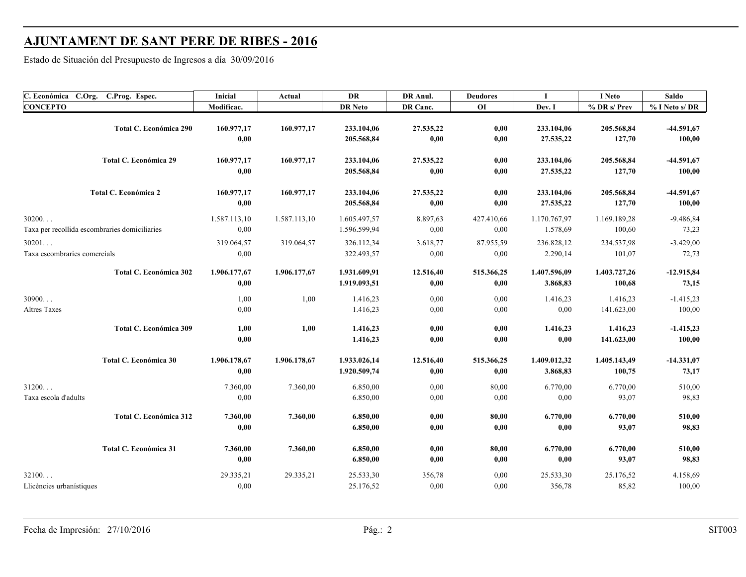| C. Económica C.Org. C.Prog. Espec.                     |                               | Inicial              | Actual       | <b>DR</b>                    | DR Anul.          | <b>Deudores</b>    | 1                        | I Neto                 | <b>Saldo</b>           |
|--------------------------------------------------------|-------------------------------|----------------------|--------------|------------------------------|-------------------|--------------------|--------------------------|------------------------|------------------------|
| <b>CONCEPTO</b>                                        |                               | Modificac.           |              | <b>DR</b> Neto               | DR Canc.          | OI                 | Dev. I                   | % DR s/ Prev           | $\%$ I Neto s/ DR      |
|                                                        | Total C. Económica 290        | 160.977,17<br>0,00   | 160.977,17   | 233.104,06<br>205.568,84     | 27.535,22<br>0,00 | 0,00<br>0,00       | 233.104,06<br>27.535,22  | 205.568,84<br>127,70   | $-44.591.67$<br>100,00 |
|                                                        | Total C. Económica 29         | 160.977,17<br>0,00   | 160.977,17   | 233.104,06<br>205.568,84     | 27.535,22<br>0,00 | 0,00<br>0,00       | 233.104,06<br>27.535,22  | 205.568,84<br>127,70   | $-44.591,67$<br>100,00 |
|                                                        | Total C. Económica 2          | 160.977,17<br>0.00   | 160.977,17   | 233.104,06<br>205.568,84     | 27.535,22<br>0.00 | 0,00<br>0,00       | 233.104,06<br>27.535,22  | 205.568,84<br>127,70   | $-44.591.67$<br>100,00 |
| 30200<br>Taxa per recollida escombraries domiciliaries |                               | 1.587.113,10<br>0,00 | 1.587.113,10 | 1.605.497,57<br>1.596.599,94 | 8.897,63<br>0,00  | 427.410,66<br>0,00 | 1.170.767,97<br>1.578,69 | 1.169.189,28<br>100,60 | $-9.486,84$<br>73,23   |
| 30201<br>Taxa escombraries comercials                  |                               | 319.064,57<br>0,00   | 319.064,57   | 326.112,34<br>322.493,57     | 3.618,77<br>0,00  | 87.955,59<br>0,00  | 236.828,12<br>2.290,14   | 234.537,98<br>101,07   | $-3.429,00$<br>72,73   |
|                                                        | Total C. Económica 302        | 1.906.177,67<br>0,00 | 1.906.177,67 | 1.931.609,91<br>1.919.093,51 | 12.516,40<br>0,00 | 515.366,25<br>0,00 | 1.407.596,09<br>3.868,83 | 1.403.727,26<br>100,68 | $-12.915.84$<br>73,15  |
| 30900<br><b>Altres Taxes</b>                           |                               | 1,00<br>0,00         | 1,00         | 1.416,23<br>1.416,23         | 0,00<br>0,00      | 0,00<br>0,00       | 1.416,23<br>0,00         | 1.416,23<br>141.623,00 | $-1.415,23$<br>100,00  |
|                                                        | <b>Total C. Económica 309</b> | 1,00<br>0,00         | 1,00         | 1.416,23<br>1.416,23         | 0.00<br>0.00      | 0.00<br>0,00       | 1.416,23<br>0,00         | 1.416,23<br>141.623,00 | $-1.415,23$<br>100,00  |
|                                                        | Total C. Económica 30         | 1.906.178,67<br>0,00 | 1.906.178,67 | 1.933.026,14<br>1.920.509,74 | 12.516,40<br>0,00 | 515.366,25<br>0,00 | 1.409.012,32<br>3.868,83 | 1.405.143,49<br>100,75 | $-14.331,07$<br>73,17  |
| 31200<br>Taxa escola d'adults                          |                               | 7.360,00<br>0.00     | 7.360,00     | 6.850,00<br>6.850,00         | 0,00<br>0.00      | 80,00<br>0,00      | 6.770,00<br>0.00         | 6.770,00<br>93,07      | 510,00<br>98,83        |
|                                                        | Total C. Económica 312        | 7.360,00<br>0,00     | 7.360,00     | 6.850,00<br>6.850,00         | 0,00<br>0,00      | 80,00<br>0,00      | 6.770,00<br>0,00         | 6.770,00<br>93,07      | 510,00<br>98,83        |
|                                                        | Total C. Económica 31         | 7.360,00<br>0,00     | 7.360,00     | 6.850,00<br>6.850,00         | 0.00<br>0,00      | 80,00<br>0,00      | 6.770,00<br>0,00         | 6.770,00<br>93,07      | 510,00<br>98,83        |
| 32100<br>Llicències urbanístiques                      |                               | 29.335,21<br>0.00    | 29.335,21    | 25.533,30<br>25.176,52       | 356,78<br>0.00    | 0,00<br>0,00       | 25.533,30<br>356,78      | 25.176,52<br>85,82     | 4.158,69<br>100,00     |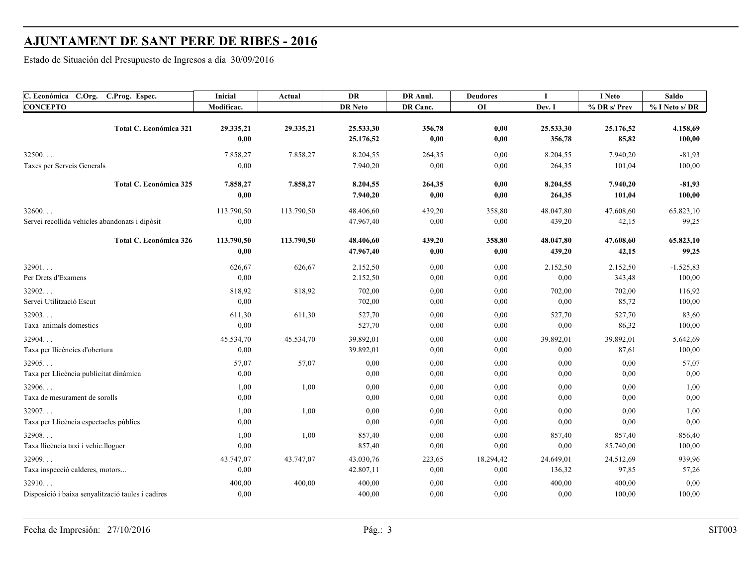| C. Económica C.Org. C.Prog. Espec.                | Inicial            | Actual     | <b>DR</b>              | DR Anul.       | <b>Deudores</b> | 1                   | I Neto             | <b>Saldo</b>       |
|---------------------------------------------------|--------------------|------------|------------------------|----------------|-----------------|---------------------|--------------------|--------------------|
| <b>CONCEPTO</b>                                   | Modificac.         |            | <b>DR</b> Neto         | DR Canc.       | OI              | Dev. I              | % DR s/ Prev       | % I Neto s/ DR     |
| Total C. Económica 321                            | 29.335,21<br>0,00  | 29.335,21  | 25.533,30<br>25.176,52 | 356,78<br>0,00 | 0,00<br>0,00    | 25.533,30<br>356,78 | 25.176,52<br>85,82 | 4.158,69<br>100,00 |
| 32500                                             | 7.858,27           | 7.858,27   | 8.204,55               | 264,35         | 0,00            | 8.204,55            | 7.940,20           | $-81,93$           |
| Taxes per Serveis Generals                        | 0,00               |            | 7.940,20               | 0,00           | 0,00            | 264,35              | 101,04             | 100,00             |
| Total C. Económica 325                            | 7.858,27<br>0,00   | 7.858,27   | 8.204,55<br>7.940,20   | 264,35<br>0,00 | 0,00<br>0,00    | 8.204,55<br>264,35  | 7.940,20<br>101,04 | $-81,93$<br>100,00 |
| 32600                                             | 113.790,50         | 113.790,50 | 48.406,60              | 439,20         | 358,80          | 48.047,80           | 47.608,60          | 65.823,10          |
| Servei recollida vehicles abandonats i dipòsit    | 0,00               |            | 47.967,40              | 0,00           | 0,00            | 439,20              | 42,15              | 99,25              |
| Total C. Económica 326                            | 113.790,50<br>0,00 | 113.790,50 | 48.406,60<br>47.967,40 | 439,20<br>0,00 | 358,80<br>0,00  | 48.047,80<br>439,20 | 47.608,60<br>42,15 | 65.823,10<br>99,25 |
| 32901                                             | 626,67             | 626,67     | 2.152,50               | 0,00           | 0,00            | 2.152,50            | 2.152,50           | $-1.525,83$        |
| Per Drets d'Examens                               | 0.00               |            | 2.152,50               | 0.00           | 0,00            | 0.00                | 343,48             | 100,00             |
| 32902                                             | 818,92             | 818,92     | 702,00                 | 0,00           | 0,00            | 702,00              | 702,00             | 116,92             |
| Servei Utilització Escut                          | 0,00               |            | 702,00                 | 0,00           | 0,00            | 0,00                | 85,72              | 100,00             |
| 32903                                             | 611,30             | 611,30     | 527,70                 | 0,00           | 0,00            | 527,70              | 527,70             | 83,60              |
| Taxa animals domestics                            | 0,00               |            | 527,70                 | 0,00           | 0,00            | 0,00                | 86,32              | 100,00             |
| 32904                                             | 45.534,70          | 45.534,70  | 39.892,01              | 0.00           | 0,00            | 39.892,01           | 39.892,01          | 5.642,69           |
| Taxa per llicències d'obertura                    | 0,00               |            | 39.892,01              | 0,00           | 0,00            | 0,00                | 87,61              | 100,00             |
| 32905                                             | 57,07              | 57,07      | 0,00                   | 0,00           | 0,00            | 0,00                | 0,00               | 57,07              |
| Taxa per Llicència publicitat dinàmica            | 0,00               |            | 0,00                   | 0,00           | 0,00            | 0,00                | 0,00               | 0,00               |
| 32906                                             | 1,00               | 1,00       | 0,00                   | 0.00           | 0,00            | 0,00                | 0,00               | 1,00               |
| Taxa de mesurament de sorolls                     | 0,00               |            | 0,00                   | 0,00           | 0,00            | 0,00                | 0,00               | 0,00               |
| 32907                                             | 1,00               | 1,00       | 0,00                   | 0,00           | 0,00            | 0.00                | 0,00               | 1,00               |
| Taxa per Llicència espectacles públics            | 0,00               |            | 0,00                   | 0,00           | 0,00            | 0,00                | 0,00               | 0,00               |
| 32908                                             | 1,00               | 1,00       | 857,40                 | 0,00           | 0,00            | 857,40              | 857,40             | $-856,40$          |
| Taxa llicència taxi i vehic.lloguer               | 0,00               |            | 857,40                 | 0,00           | 0,00            | 0,00                | 85.740,00          | 100,00             |
| 32909                                             | 43.747,07          | 43.747,07  | 43.030,76              | 223,65         | 18.294,42       | 24.649,01           | 24.512,69          | 939,96             |
| Taxa inspecció calderes, motors                   | 0,00               |            | 42.807,11              | 0.00           | 0,00            | 136,32              | 97,85              | 57,26              |
| 32910                                             | 400,00             | 400,00     | 400,00                 | 0,00           | 0,00            | 400,00              | 400,00             | 0.00               |
| Disposició i baixa senyalització taules i cadires | 0,00               |            | 400,00                 | 0.00           | 0,00            | 0,00                | 100,00             | 100,00             |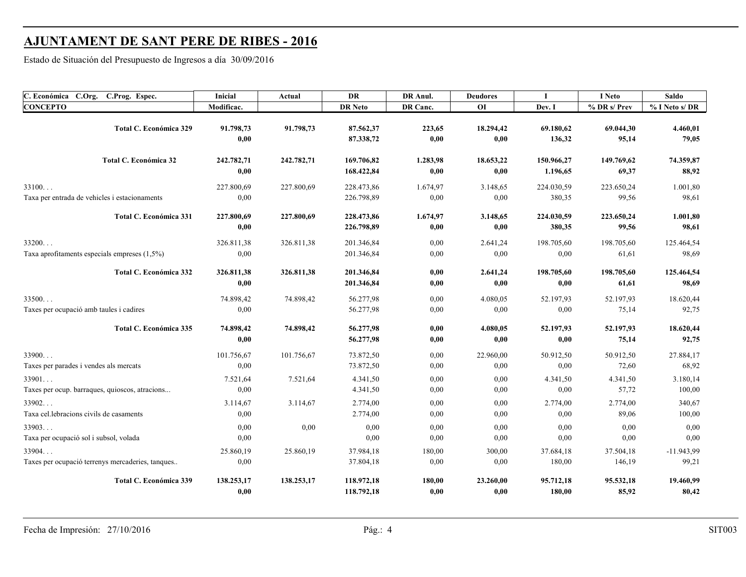| C. Económica C.Org. C.Prog. Espec.               | Inicial            | Actual     | <b>DR</b>                | DR Anul.         | <b>Deudores</b>   | 1                      | I Neto              | Saldo               |
|--------------------------------------------------|--------------------|------------|--------------------------|------------------|-------------------|------------------------|---------------------|---------------------|
| <b>CONCEPTO</b>                                  | Modificac.         |            | <b>DR</b> Neto           | DR Canc.         | OI                | Dev. I                 | % DR s/ Prev        | % I Neto s/ DR      |
| Total C. Económica 329                           | 91.798,73<br>0,00  | 91.798,73  | 87.562,37<br>87.338,72   | 223,65<br>0,00   | 18.294,42<br>0,00 | 69.180,62<br>136,32    | 69.044,30<br>95,14  | 4.460,01<br>79,05   |
| Total C. Económica 32                            | 242.782,71<br>0.00 | 242.782,71 | 169.706,82<br>168.422,84 | 1.283,98<br>0,00 | 18.653,22<br>0.00 | 150.966,27<br>1.196,65 | 149.769,62<br>69,37 | 74.359,87<br>88,92  |
| 33100                                            | 227.800,69         | 227.800,69 | 228.473,86               | 1.674,97         | 3.148,65          | 224.030,59             | 223.650,24          | 1.001,80            |
| Taxa per entrada de vehicles i estacionaments    | 0,00               |            | 226.798,89               | 0.00             | 0,00              | 380,35                 | 99,56               | 98,61               |
| Total C. Económica 331                           | 227.800,69<br>0,00 | 227.800,69 | 228.473,86<br>226.798,89 | 1.674,97<br>0,00 | 3.148,65<br>0.00  | 224.030,59<br>380,35   | 223.650,24<br>99,56 | 1.001,80<br>98,61   |
| 33200                                            | 326.811,38         | 326.811,38 | 201.346,84               | 0.00             | 2.641,24          | 198.705,60             | 198.705,60          | 125.464,54          |
| Taxa aprofitaments especials empreses $(1,5\%)$  | 0,00               |            | 201.346,84               | 0,00             | 0,00              | 0,00                   | 61,61               | 98,69               |
| <b>Total C. Económica 332</b>                    | 326.811,38<br>0.00 | 326.811,38 | 201.346,84<br>201.346,84 | 0,00<br>0.00     | 2.641,24<br>0,00  | 198.705,60<br>0,00     | 198.705,60<br>61,61 | 125.464,54<br>98,69 |
| 33500                                            | 74.898,42          | 74.898,42  | 56.277,98                | 0.00             | 4.080,05          | 52.197,93              | 52.197,93           | 18.620,44           |
| Taxes per ocupació amb taules i cadires          | 0,00               |            | 56.277,98                | 0,00             | 0,00              | 0.00                   | 75,14               | 92,75               |
| Total C. Económica 335                           | 74.898,42<br>0.00  | 74.898,42  | 56.277,98<br>56.277,98   | 0.00<br>0.00     | 4.080,05<br>0,00  | 52.197,93<br>0,00      | 52.197,93<br>75,14  | 18.620,44<br>92,75  |
| 33900                                            | 101.756,67         | 101.756,67 | 73.872,50                | 0.00             | 22.960,00         | 50.912,50              | 50.912,50           | 27.884,17           |
| Taxes per parades i vendes als mercats           | 0,00               |            | 73.872,50                | 0.00             | 0.00              | 0.00                   | 72,60               | 68,92               |
| 33901                                            | 7.521,64           | 7.521,64   | 4.341,50                 | 0.00             | 0.00              | 4.341,50               | 4.341,50            | 3.180,14            |
| Taxes per ocup. barraques, quioscos, atracions   | 0,00               |            | 4.341,50                 | 0.00             | 0,00              | 0.00                   | 57,72               | 100,00              |
| 33902                                            | 3.114,67           | 3.114,67   | 2.774,00                 | 0.00             | 0.00              | 2.774,00               | 2.774,00            | 340,67              |
| Taxa cel.lebracions civils de casaments          | 0,00               |            | 2.774,00                 | 0,00             | 0,00              | 0.00                   | 89,06               | 100,00              |
| 33903                                            | 0.00               | 0,00       | 0,00                     | 0,00             | 0.00              | 0.00                   | 0.00                | 0.00                |
| Taxa per ocupació sol i subsol, volada           | 0,00               |            | 0,00                     | 0,00             | 0.00              | 0.00                   | 0,00                | 0.00                |
| 33904                                            | 25.860,19          | 25.860,19  | 37.984,18                | 180,00           | 300,00            | 37.684,18              | 37.504,18           | $-11.943.99$        |
| Taxes per ocupació terrenys mercaderies, tanques | 0,00               |            | 37.804,18                | 0,00             | 0.00              | 180,00                 | 146,19              | 99,21               |
| Total C. Económica 339                           | 138.253,17<br>0,00 | 138.253,17 | 118.972,18<br>118.792,18 | 180,00<br>0.00   | 23.260,00<br>0,00 | 95.712,18<br>180,00    | 95.532,18<br>85,92  | 19.460,99<br>80,42  |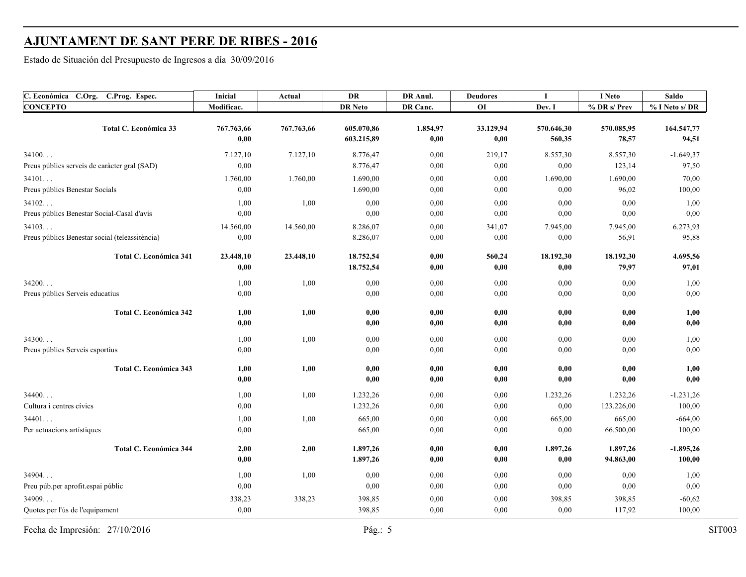| C. Económica C.Org. C.Prog. Espec.             | <b>Inicial</b>     | Actual     | <b>DR</b>                | DR Anul.         | <b>Deudores</b>   | 1                    | I Neto                | Saldo                 |
|------------------------------------------------|--------------------|------------|--------------------------|------------------|-------------------|----------------------|-----------------------|-----------------------|
| <b>CONCEPTO</b>                                | Modificac.         |            | <b>DR</b> Neto           | DR Canc.         | OI                | Dev. I               | % DR s/ Prev          | % I Neto s/DR         |
| Total C. Económica 33                          | 767.763,66<br>0,00 | 767.763,66 | 605.070,86<br>603.215,89 | 1.854,97<br>0,00 | 33.129,94<br>0,00 | 570.646,30<br>560,35 | 570.085,95<br>78,57   | 164.547,77<br>94,51   |
| 34100                                          | 7.127,10           | 7.127,10   | 8.776,47                 | 0,00             | 219,17            | 8.557,30             | 8.557,30              | $-1.649,37$           |
| Preus públics serveis de caràcter gral (SAD)   | 0,00               |            | 8.776,47                 | 0,00             | 0,00              | 0,00                 | 123,14                | 97,50                 |
| 34101                                          | 1.760,00           | 1.760,00   | 1.690,00                 | 0,00             | 0,00              | 1.690,00             | 1.690,00              | 70,00                 |
| Preus públics Benestar Socials                 | 0,00               |            | 1.690,00                 | 0,00             | 0,00              | 0,00                 | 96,02                 | 100,00                |
| 34102                                          | 1,00               | 1,00       | 0,00                     | 0,00             | 0,00              | 0,00                 | 0,00                  | 1,00                  |
| Preus públics Benestar Social-Casal d'avis     | 0,00               |            | 0,00                     | 0,00             | 0,00              | 0,00                 | 0,00                  | 0,00                  |
| 34103                                          | 14.560,00          | 14.560,00  | 8.286,07                 | 0,00             | 341,07            | 7.945,00             | 7.945,00              | 6.273,93              |
| Preus públics Benestar social (teleassitència) | 0,00               |            | 8.286,07                 | 0,00             | 0,00              | 0,00                 | 56,91                 | 95,88                 |
| Total C. Económica 341                         | 23.448,10<br>0,00  | 23.448,10  | 18.752,54<br>18.752,54   | 0,00<br>0,00     | 560,24<br>0,00    | 18.192,30<br>0,00    | 18.192,30<br>79,97    | 4.695,56<br>97,01     |
| 34200                                          | 1,00               | 1,00       | 0,00                     | 0,00             | 0,00              | 0,00                 | 0,00                  | 1,00                  |
| Preus públics Serveis educatius                | 0,00               |            | 0,00                     | 0,00             | 0,00              | 0,00                 | 0,00                  | 0,00                  |
| Total C. Económica 342                         | 1,00<br>0,00       | 1,00       | 0,00<br>0,00             | 0,00<br>0,00     | 0,00<br>0,00      | 0,00<br>0,00         | 0,00<br>0,00          | 1,00<br>0,00          |
| 34300                                          | 1,00               | 1,00       | 0,00                     | 0,00             | 0,00              | 0,00                 | 0,00                  | 1,00                  |
| Preus públics Serveis esportius                | 0,00               |            | 0,00                     | 0,00             | 0,00              | 0.00                 | 0,00                  | 0,00                  |
| Total C. Económica 343                         | 1,00<br>0,00       | 1,00       | 0,00<br>0,00             | 0,00<br>0,00     | 0,00<br>0,00      | 0,00<br>0,00         | 0,00<br>0,00          | 1,00<br>0,00          |
| 34400                                          | 1,00               | 1,00       | 1.232,26                 | 0,00             | 0,00              | 1.232,26             | 1.232,26              | $-1.231,26$           |
| Cultura i centres cívics                       | 0,00               |            | 1.232,26                 | 0,00             | 0,00              | 0,00                 | 123.226,00            | 100,00                |
| 34401                                          | 1,00               | 1,00       | 665,00                   | 0,00             | 0.00              | 665,00               | 665,00                | $-664,00$             |
| Per actuacions artístiques                     | 0,00               |            | 665,00                   | 0,00             | 0,00              | 0,00                 | 66.500,00             | 100,00                |
| Total C. Económica 344                         | 2,00<br>0,00       | 2,00       | 1.897,26<br>1.897,26     | 0,00<br>0,00     | 0,00<br>0,00      | 1.897,26<br>0,00     | 1.897,26<br>94.863,00 | $-1.895,26$<br>100,00 |
| 34904                                          | 1,00               | 1,00       | 0,00                     | 0,00             | 0,00              | 0,00                 | 0,00                  | 1,00                  |
| Preu púb.per aprofit.espai públic              | 0,00               |            | 0,00                     | 0,00             | 0,00              | 0,00                 | 0,00                  | 0,00                  |
| 34909                                          | 338,23             | 338,23     | 398,85                   | 0,00             | 0,00              | 398,85               | 398,85                | $-60,62$              |
| Quotes per l'ús de l'equipament                | 0.00               |            | 398,85                   | 0,00             | 0,00              | 0,00                 | 117,92                | 100,00                |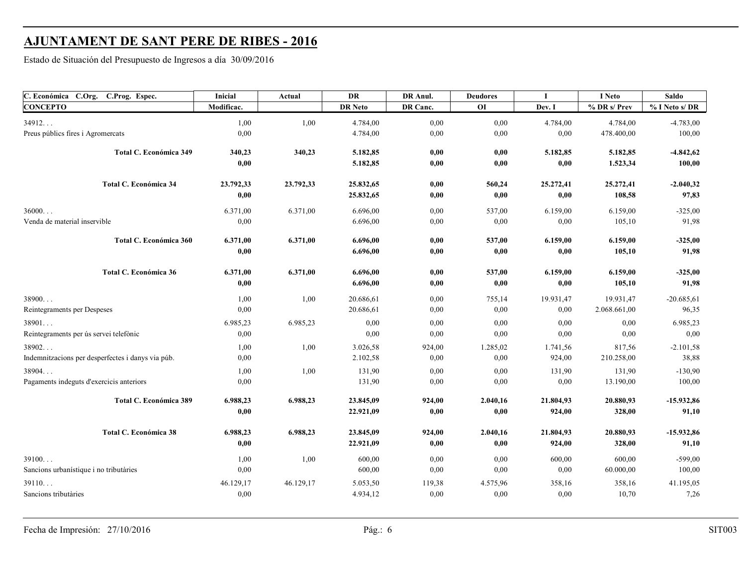| C. Económica C.Org. C.Prog. Espec.                | Inicial    | Actual    | <b>DR</b>      | DR Anul. | <b>Deudores</b> | 1         | <b>I</b> Neto | <b>Saldo</b>      |
|---------------------------------------------------|------------|-----------|----------------|----------|-----------------|-----------|---------------|-------------------|
| <b>CONCEPTO</b>                                   | Modificac. |           | <b>DR</b> Neto | DR Canc. | <b>OI</b>       | Dev. I    | % DR s/ Prev  | $\%$ I Neto s/ DR |
| 34912                                             | 1,00       | 1,00      | 4.784,00       | 0.00     | 0,00            | 4.784,00  | 4.784,00      | $-4.783,00$       |
| Preus públics fires i Agromercats                 | 0.00       |           | 4.784,00       | 0.00     | 0,00            | 0,00      | 478.400,00    | 100,00            |
| Total C. Económica 349                            | 340,23     | 340,23    | 5.182,85       | 0.00     | 0.00            | 5.182,85  | 5.182,85      | $-4.842,62$       |
|                                                   | 0,00       |           | 5.182,85       | 0,00     | 0,00            | 0,00      | 1.523,34      | 100,00            |
|                                                   |            |           |                |          |                 |           |               |                   |
| Total C. Económica 34                             | 23.792,33  | 23.792,33 | 25.832,65      | 0,00     | 560,24          | 25.272,41 | 25.272,41     | $-2.040,32$       |
|                                                   | 0,00       |           | 25.832,65      | 0,00     | 0,00            | 0,00      | 108,58        | 97,83             |
| 36000                                             | 6.371,00   | 6.371,00  | 6.696,00       | 0,00     | 537,00          | 6.159,00  | 6.159,00      | $-325,00$         |
| Venda de material inservible                      | 0,00       |           | 6.696,00       | 0,00     | 0,00            | 0,00      | 105,10        | 91,98             |
| Total C. Económica 360                            | 6.371,00   | 6.371,00  | 6.696,00       | 0,00     | 537,00          | 6.159,00  | 6.159,00      | $-325,00$         |
|                                                   | 0,00       |           | 6.696,00       | 0,00     | 0,00            | 0,00      | 105,10        | 91,98             |
|                                                   |            |           |                |          |                 |           |               |                   |
| Total C. Económica 36                             | 6.371,00   | 6.371,00  | 6.696,00       | 0,00     | 537,00          | 6.159,00  | 6.159,00      | $-325,00$         |
|                                                   | 0,00       |           | 6.696,00       | 0,00     | 0.00            | 0,00      | 105,10        | 91,98             |
| 38900                                             | 1,00       | 1,00      | 20.686,61      | 0.00     | 755,14          | 19.931,47 | 19.931,47     | $-20.685, 61$     |
| Reintegraments per Despeses                       | 0,00       |           | 20.686,61      | 0.00     | 0,00            | 0.00      | 2.068.661,00  | 96,35             |
| 38901                                             | 6.985,23   | 6.985,23  | 0,00           | 0,00     | 0,00            | 0.00      | 0,00          | 6.985,23          |
| Reintegraments per ús servei telefònic            | 0,00       |           | 0,00           | 0,00     | 0,00            | 0,00      | 0,00          | 0,00              |
| 38902                                             | 1,00       | 1,00      | 3.026,58       | 924,00   | 1.285,02        | 1.741,56  | 817,56        | $-2.101,58$       |
| Indemnitzacions per desperfectes i danys via púb. | 0,00       |           | 2.102,58       | 0.00     | 0.00            | 924,00    | 210.258,00    | 38,88             |
| 38904                                             | 1,00       | 1,00      | 131,90         | 0,00     | 0,00            | 131,90    | 131,90        | $-130,90$         |
| Pagaments indeguts d'exercicis anteriors          | 0,00       |           | 131,90         | 0,00     | 0,00            | 0,00      | 13.190,00     | 100,00            |
| Total C. Económica 389                            | 6.988,23   | 6.988,23  | 23.845,09      | 924,00   | 2.040,16        | 21.804,93 | 20.880,93     | $-15.932,86$      |
|                                                   | 0,00       |           | 22.921,09      | 0,00     | 0,00            | 924,00    | 328,00        | 91,10             |
| Total C. Económica 38                             | 6.988,23   | 6.988,23  | 23.845,09      | 924,00   | 2.040,16        | 21.804,93 | 20.880,93     | $-15.932,86$      |
|                                                   | 0,00       |           | 22.921,09      | 0,00     | 0,00            | 924,00    | 328,00        | 91,10             |
| 39100                                             | 1,00       | 1,00      | 600,00         | 0,00     | 0,00            | 600,00    | 600,00        | $-599,00$         |
| Sancions urbanístique i no tributàries            | 0,00       |           | 600,00         | 0,00     | 0,00            | 0,00      | 60.000,00     | 100,00            |
| 39110                                             | 46.129,17  | 46.129,17 | 5.053,50       | 119,38   | 4.575,96        | 358,16    | 358,16        | 41.195,05         |
| Sancions tributàries                              | 0,00       |           | 4.934,12       | 0,00     | 0,00            | 0,00      | 10,70         | 7,26              |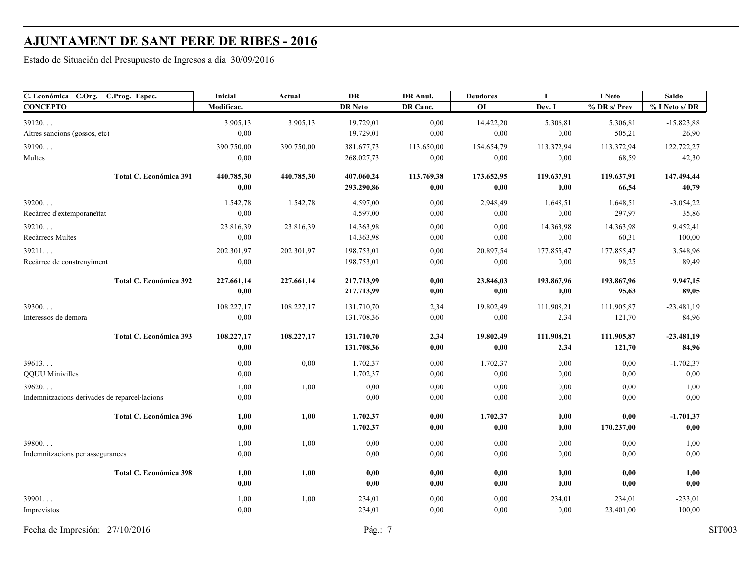| C. Económica C.Org. C.Prog. Espec.            | Inicial    | Actual     | <b>DR</b>      | DR Anul.   | <b>Deudores</b> | 1          | I Neto       | Saldo         |
|-----------------------------------------------|------------|------------|----------------|------------|-----------------|------------|--------------|---------------|
| <b>CONCEPTO</b>                               | Modificac. |            | <b>DR</b> Neto | DR Canc.   | OI              | Dev. I     | % DR s/ Prev | % I Neto s/DR |
| 39120                                         | 3.905,13   | 3.905,13   | 19.729,01      | 0.00       | 14.422,20       | 5.306,81   | 5.306,81     | $-15.823,88$  |
| Altres sancions (gossos, etc)                 | 0,00       |            | 19.729,01      | 0,00       | 0,00            | 0,00       | 505,21       | 26,90         |
| 39190                                         | 390.750,00 | 390.750,00 | 381.677,73     | 113.650,00 | 154.654,79      | 113.372,94 | 113.372,94   | 122.722,27    |
| Multes                                        | 0,00       |            | 268.027,73     | 0,00       | 0,00            | 0,00       | 68,59        | 42,30         |
| Total C. Económica 391                        | 440.785,30 | 440.785,30 | 407.060,24     | 113.769,38 | 173.652,95      | 119.637,91 | 119.637,91   | 147.494,44    |
|                                               | 0,00       |            | 293.290,86     | 0,00       | 0,00            | 0,00       | 66,54        | 40,79         |
| 39200                                         | 1.542,78   | 1.542,78   | 4.597,00       | 0,00       | 2.948,49        | 1.648,51   | 1.648,51     | $-3.054,22$   |
| Recàrrec d'extemporaneïtat                    | 0,00       |            | 4.597,00       | 0,00       | 0,00            | 0,00       | 297,97       | 35,86         |
| 39210                                         | 23.816,39  | 23.816,39  | 14.363,98      | 0,00       | 0,00            | 14.363,98  | 14.363,98    | 9.452,41      |
| Recàrrecs Multes                              | 0,00       |            | 14.363,98      | 0,00       | 0,00            | 0,00       | 60,31        | 100,00        |
| 39211                                         | 202.301,97 | 202.301,97 | 198.753,01     | 0,00       | 20.897,54       | 177.855,47 | 177.855,47   | 3.548,96      |
| Recàrrec de constrenyiment                    | 0,00       |            | 198.753,01     | 0,00       | 0,00            | 0,00       | 98,25        | 89,49         |
| <b>Total C. Económica 392</b>                 | 227.661,14 | 227.661,14 | 217.713,99     | 0,00       | 23.846,03       | 193.867,96 | 193.867,96   | 9.947,15      |
|                                               | 0,00       |            | 217.713,99     | 0,00       | 0,00            | 0,00       | 95,63        | 89,05         |
| 39300                                         | 108.227,17 | 108.227,17 | 131.710,70     | 2,34       | 19.802,49       | 111.908,21 | 111.905,87   | $-23.481,19$  |
| Interessos de demora                          | 0,00       |            | 131.708,36     | 0,00       | 0,00            | 2,34       | 121,70       | 84,96         |
| Total C. Económica 393                        | 108.227,17 | 108.227,17 | 131.710,70     | 2,34       | 19.802,49       | 111.908,21 | 111.905,87   | $-23.481,19$  |
|                                               | 0,00       |            | 131.708,36     | 0,00       | 0,00            | 2,34       | 121,70       | 84,96         |
| 39613                                         | 0,00       | 0,00       | 1.702,37       | 0,00       | 1.702,37        | 0,00       | 0,00         | $-1.702,37$   |
| <b>QQUU</b> Minivilles                        | 0,00       |            | 1.702,37       | 0,00       | 0,00            | 0,00       | 0,00         | 0,00          |
| 39620                                         | 1,00       | 1,00       | 0,00           | 0,00       | 0,00            | 0,00       | 0,00         | 1,00          |
| Indemnitzacions derivades de reparcel·lacions | 0,00       |            | 0,00           | 0,00       | 0,00            | 0,00       | 0,00         | 0,00          |
| Total C. Económica 396                        | 1,00       | 1,00       | 1.702,37       | 0,00       | 1.702,37        | 0,00       | 0.00         | $-1.701,37$   |
|                                               | 0,00       |            | 1.702,37       | 0,00       | 0,00            | 0,00       | 170.237,00   | 0,00          |
| 39800                                         | 1,00       | 1,00       | 0,00           | 0,00       | 0,00            | 0,00       | 0,00         | 1,00          |
| Indemnitzacions per assegurances              | 0,00       |            | 0,00           | 0,00       | 0,00            | 0,00       | 0,00         | 0,00          |
| Total C. Económica 398                        | 1,00       | 1,00       | 0,00           | 0,00       | 0,00            | 0,00       | 0,00         | 1,00          |
|                                               | 0,00       |            | 0,00           | 0,00       | 0,00            | 0,00       | 0,00         | 0,00          |
| 39901                                         | 1,00       | 1,00       | 234,01         | 0,00       | 0,00            | 234,01     | 234,01       | $-233,01$     |
| Imprevistos                                   | 0.00       |            | 234,01         | 0.00       | 0,00            | 0.00       | 23.401,00    | 100,00        |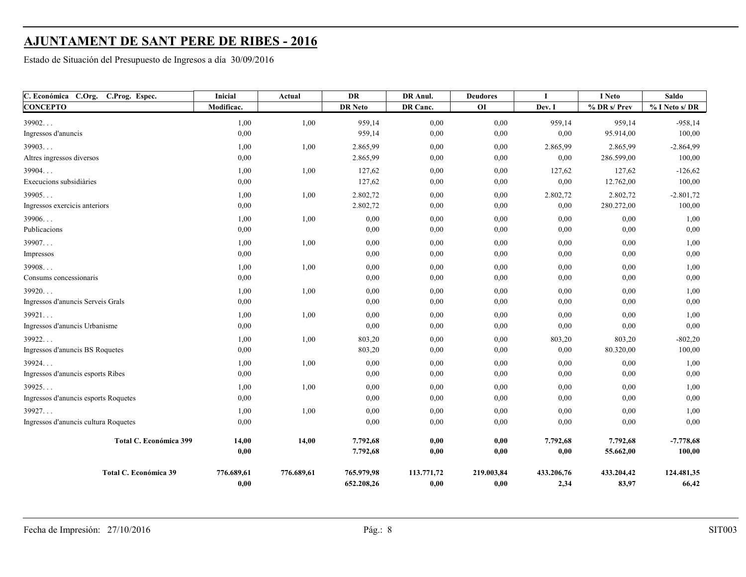| C. Económica C.Org. C.Prog. Espec.   | Inicial    | Actual     | <b>DR</b>      | DR Anul.   | <b>Deudores</b> | 1          | I Neto       | Saldo         |
|--------------------------------------|------------|------------|----------------|------------|-----------------|------------|--------------|---------------|
| <b>CONCEPTO</b>                      | Modificac. |            | <b>DR</b> Neto | DR Canc.   | <b>OI</b>       | Dev. I     | % DR s/ Prev | % I Neto s/DR |
| 39902                                | 1,00       | 1,00       | 959,14         | 0,00       | 0,00            | 959,14     | 959,14       | $-958,14$     |
| Ingressos d'anuncis                  | 0,00       |            | 959,14         | 0,00       | 0,00            | 0,00       | 95.914,00    | 100,00        |
| 39903                                | 1,00       | 1,00       | 2.865,99       | 0,00       | 0,00            | 2.865,99   | 2.865,99     | $-2.864,99$   |
| Altres ingressos diversos            | 0,00       |            | 2.865,99       | 0,00       | 0,00            | 0,00       | 286.599,00   | 100,00        |
| 39904                                | 1,00       | 1,00       | 127,62         | 0,00       | 0,00            | 127,62     | 127,62       | $-126,62$     |
| Execucions subsidiàries              | 0,00       |            | 127,62         | 0,00       | 0,00            | 0,00       | 12.762,00    | 100,00        |
| 39905                                | 1,00       | 1,00       | 2.802,72       | 0,00       | 0,00            | 2.802,72   | 2.802,72     | $-2.801,72$   |
| Ingressos exercicis anteriors        | 0,00       |            | 2.802,72       | 0,00       | 0,00            | 0,00       | 280.272,00   | 100,00        |
| 39906                                | 1,00       | 1,00       | 0,00           | 0,00       | 0,00            | 0,00       | 0,00         | 1,00          |
| Publicacions                         | 0,00       |            | 0,00           | 0,00       | 0,00            | 0,00       | 0,00         | 0,00          |
| 39907                                | 1,00       | 1,00       | 0,00           | 0,00       | 0,00            | 0,00       | 0,00         | 1,00          |
| Impressos                            | 0,00       |            | 0,00           | 0,00       | 0,00            | 0,00       | 0,00         | 0,00          |
| 39908                                | 1,00       | 1,00       | 0,00           | 0,00       | 0,00            | 0,00       | 0,00         | 1,00          |
| Consums concessionaris               | 0,00       |            | 0,00           | 0,00       | 0,00            | 0,00       | 0,00         | 0,00          |
| 39920                                | 1,00       | 1,00       | 0,00           | 0,00       | 0,00            | 0,00       | 0,00         | 1,00          |
| Ingressos d'anuncis Serveis Grals    | 0,00       |            | 0,00           | 0,00       | 0,00            | 0,00       | 0,00         | 0,00          |
| 39921                                | 1,00       | 1,00       | 0,00           | 0,00       | 0,00            | 0,00       | 0,00         | 1,00          |
| Ingressos d'anuncis Urbanisme        | 0,00       |            | 0,00           | 0,00       | 0,00            | 0,00       | 0,00         | 0,00          |
| 39922                                | 1,00       | 1,00       | 803,20         | 0,00       | 0,00            | 803,20     | 803,20       | $-802,20$     |
| Ingressos d'anuncis BS Roquetes      | 0,00       |            | 803,20         | 0,00       | 0,00            | 0,00       | 80.320,00    | 100,00        |
| 39924                                | 1,00       | 1,00       | 0,00           | 0,00       | 0,00            | 0,00       | 0.00         | 1,00          |
| Ingressos d'anuncis esports Ribes    | 0,00       |            | 0,00           | 0,00       | 0,00            | 0,00       | 0,00         | 0,00          |
| 39925                                | 1,00       | 1,00       | 0,00           | 0,00       | 0,00            | 0,00       | 0,00         | 1,00          |
| Ingressos d'anuncis esports Roquetes | 0,00       |            | 0,00           | 0,00       | 0,00            | 0,00       | 0,00         | 0,00          |
| 39927                                | 1,00       | 1,00       | 0,00           | 0,00       | 0,00            | 0,00       | 0,00         | 1,00          |
| Ingressos d'anuncis cultura Roquetes | 0,00       |            | 0,00           | 0,00       | 0,00            | 0,00       | 0.00         | 0,00          |
| Total C. Económica 399               | 14,00      | 14,00      | 7.792,68       | 0,00       | 0,00            | 7.792,68   | 7.792,68     | $-7.778,68$   |
|                                      | 0,00       |            | 7.792,68       | 0,00       | 0,00            | 0,00       | 55.662,00    | 100,00        |
| Total C. Económica 39                | 776.689,61 | 776.689,61 | 765.979,98     | 113.771,72 | 219.003,84      | 433.206,76 | 433.204,42   | 124.481,35    |
|                                      | 0,00       |            | 652.208,26     | 0,00       | 0,00            | 2,34       | 83,97        | 66,42         |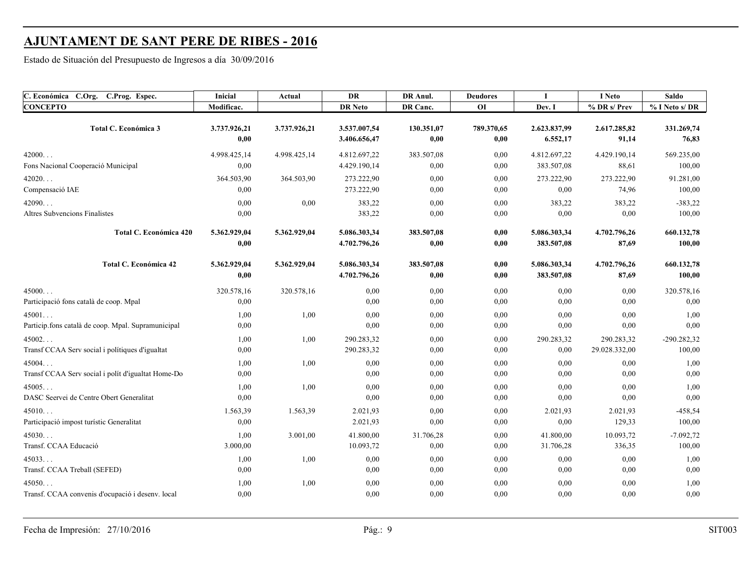| C. Económica C.Org. C.Prog. Espec.                 | Inicial              | Actual       | <b>DR</b>                    | DR Anul.           | <b>Deudores</b>    | I                          | I Neto                | Saldo                |
|----------------------------------------------------|----------------------|--------------|------------------------------|--------------------|--------------------|----------------------------|-----------------------|----------------------|
| <b>CONCEPTO</b>                                    | Modificac.           |              | <b>DR</b> Neto               | DR Canc.           | <b>OI</b>          | Dev. I                     | % DR s/ Prev          | % I Neto s/DR        |
| Total C. Económica 3                               | 3.737.926,21<br>0,00 | 3.737.926,21 | 3.537.007,54<br>3.406.656,47 | 130.351,07<br>0,00 | 789.370,65<br>0,00 | 2.623.837,99<br>6.552,17   | 2.617.285,82<br>91,14 | 331.269,74<br>76,83  |
| 42000                                              | 4.998.425,14         | 4.998.425,14 | 4.812.697,22                 | 383.507,08         | 0,00               | 4.812.697,22               | 4.429.190,14          | 569.235,00           |
| Fons Nacional Cooperació Municipal                 | 0,00                 |              | 4.429.190,14                 | 0,00               | 0,00               | 383.507,08                 | 88,61                 | 100,00               |
| 42020                                              | 364.503,90           | 364.503,90   | 273.222,90                   | 0,00               | 0,00               | 273.222,90                 | 273.222,90            | 91.281,00            |
| Compensació IAE                                    | 0,00                 |              | 273.222,90                   | 0.00               | 0,00               | 0,00                       | 74,96                 | 100,00               |
| 42090                                              | 0,00                 | 0.00         | 383,22                       | 0.00               | 0,00               | 383,22                     | 383,22                | $-383,22$            |
| Altres Subvencions Finalistes                      | 0,00                 |              | 383,22                       | 0,00               | 0,00               | 0.00                       | 0.00                  | 100,00               |
| Total C. Económica 420                             | 5.362.929,04<br>0,00 | 5.362.929,04 | 5.086.303,34<br>4.702.796,26 | 383.507,08<br>0,00 | 0,00<br>0,00       | 5.086.303,34<br>383.507,08 | 4.702.796,26<br>87,69 | 660.132,78<br>100,00 |
| <b>Total C. Económica 42</b>                       | 5.362.929,04<br>0,00 | 5.362.929,04 | 5.086.303,34<br>4.702.796,26 | 383.507,08<br>0,00 | 0,00<br>0,00       | 5.086.303,34<br>383.507,08 | 4.702.796,26<br>87,69 | 660.132,78<br>100,00 |
| 45000                                              | 320.578,16           | 320.578,16   | 0,00                         | 0,00               | 0,00               | 0.00                       | 0,00                  | 320.578,16           |
| Participació fons català de coop. Mpal             | 0.00                 |              | 0.00                         | 0,00               | 0,00               | 0.00                       | 0.00                  | 0,00                 |
| 45001                                              | 1,00                 | 1,00         | 0.00                         | 0,00               | 0,00               | 0.00                       | 0,00                  | 1,00                 |
| Particip.fons català de coop. Mpal. Supramunicipal | 0,00                 |              | 0,00                         | 0,00               | 0,00               | 0,00                       | 0,00                  | 0,00                 |
| 45002                                              | 1,00                 | 1,00         | 290.283,32                   | 0,00               | 0,00               | 290.283,32                 | 290.283,32            | -290.282,32          |
| Transf CCAA Serv social i polítiques d'igualtat    | 0.00                 |              | 290.283,32                   | 0.00               | 0,00               | 0.00                       | 29.028.332,00         | 100,00               |
| 45004                                              | 1,00                 | 1,00         | 0,00                         | 0,00               | 0,00               | 0.00                       | 0.00                  | 1,00                 |
| Transf CCAA Serv social i polít d'igualtat Home-Do | 0,00                 |              | 0,00                         | 0,00               | 0,00               | 0,00                       | 0,00                  | 0,00                 |
| 45005                                              | 1,00                 | 1,00         | 0,00                         | 0.00               | 0,00               | 0,00                       | 0,00                  | 1,00                 |
| DASC Seervei de Centre Obert Generalitat           | 0,00                 |              | 0,00                         | 0,00               | 0,00               | 0,00                       | 0,00                  | 0,00                 |
| 45010                                              | 1.563,39             | 1.563,39     | 2.021,93                     | 0,00               | 0,00               | 2.021,93                   | 2.021,93              | $-458,54$            |
| Participació impost turístic Generalitat           | 0,00                 |              | 2.021,93                     | 0,00               | 0,00               | 0,00                       | 129,33                | 100,00               |
| 45030                                              | 1,00                 | 3.001,00     | 41.800,00                    | 31.706,28          | 0,00               | 41.800,00                  | 10.093,72             | $-7.092,72$          |
| Transf. CCAA Educació                              | 3.000,00             |              | 10.093,72                    | 0.00               | 0,00               | 31.706,28                  | 336,35                | 100,00               |
| 45033                                              | 1,00                 | 1,00         | 0,00                         | 0,00               | 0,00               | 0,00                       | 0,00                  | 1,00                 |
| Transf. CCAA Treball (SEFED)                       | 0.00                 |              | 0.00                         | 0,00               | 0,00               | 0.00                       | 0,00                  | 0,00                 |
| 45050                                              | 1,00                 | 1,00         | 0,00                         | 0,00               | 0,00               | 0,00                       | 0,00                  | 1,00                 |
| Transf. CCAA convenis d'ocupació i desenv. local   | 0,00                 |              | 0,00                         | 0,00               | 0,00               | 0,00                       | 0,00                  | 0,00                 |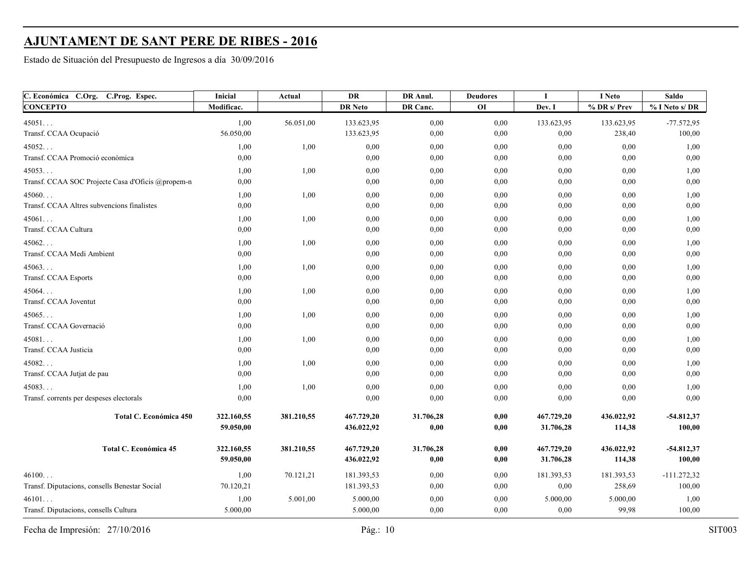Estado de Situación del Presupuesto de Ingresos a día  $30/09/2016$ 

| C. Económica C.Org. C.Prog. Espec.                | Inicial      | Actual     | DR             | DR Anul.     | <b>Deudores</b> | 1            | I Neto       | <b>Saldo</b>  |
|---------------------------------------------------|--------------|------------|----------------|--------------|-----------------|--------------|--------------|---------------|
| <b>CONCEPTO</b>                                   | Modificac.   |            | <b>DR</b> Neto | DR Canc.     | OI              | Dev. I       | % DR s/ Prev | % I Neto s/DR |
| 45051                                             | 1,00         | 56.051,00  | 133.623,95     | 0,00         | 0,00            | 133.623,95   | 133.623,95   | $-77.572.95$  |
| Transf. CCAA Ocupació                             | 56.050,00    |            | 133.623,95     | 0,00         | 0,00            | 0.00         | 238,40       | 100,00        |
| 45052                                             | 1,00         | 1,00       | 0,00           | 0,00         | 0,00            | 0,00         | 0,00         | 1,00          |
| Transf. CCAA Promoció econòmica                   | 0,00         |            | 0,00           | 0,00         | 0,00            | 0,00         | 0,00         | 0,00          |
| 45053                                             | 1,00         | 1,00       | 0,00           | 0,00         | 0,00            | 0.00         | 0,00         | 1,00          |
| Transf. CCAA SOC Projecte Casa d'Oficis @propem-n | 0,00         |            | 0,00           | 0,00         | 0,00            | 0,00         | 0,00         | 0,00          |
| 45060                                             | 1,00         | 1,00       | 0,00           | 0,00         | 0,00            | 0.00         | 0,00         | 1,00          |
| Transf. CCAA Altres subvencions finalistes        | 0,00         |            | 0,00           | 0,00         | 0,00            | 0.00         | 0,00         | 0.00          |
| 45061                                             | 1,00         | 1,00       | 0,00           | 0,00         | 0,00            | 0,00         | 0,00         | 1,00          |
| Transf. CCAA Cultura                              | 0,00         |            | 0,00           | 0,00         | 0,00            | 0.00         | 0,00         | 0.00          |
| 45062                                             | 1,00         | 1,00       | 0,00           | 0,00         | 0,00            | 0,00         | 0,00         | 1,00          |
| Transf. CCAA Medi Ambient                         | 0,00         |            | 0,00           | 0,00         | 0,00            | 0,00         | 0,00         | 0,00          |
| 45063                                             | 1,00         | 1,00       | 0,00           | 0,00         | 0,00            | 0.00         | 0,00         | 1,00          |
| Transf. CCAA Esports                              | 0,00         |            | 0,00           | 0,00         | 0,00            | 0,00         | 0,00         | 0,00          |
| 45064                                             | 1,00         | 1,00       | 0,00           | 0,00         | 0,00            | 0.00         | 0,00         | 1,00          |
| Transf. CCAA Joventut                             | 0,00         |            | 0,00           | 0,00         | 0,00            | 0,00         | 0,00         | 0,00          |
| 45065                                             | 1,00         | 1,00       | 0,00           | 0,00         | 0,00            | 0.00         | 0,00         | 1,00          |
| Transf. CCAA Governació                           | 0,00         |            | 0,00           | 0,00         | 0,00            | 0.00         | 0,00         | 0.00          |
| 45081<br>Transf. CCAA Justicia                    | 1,00         | 1,00       | 0,00           | 0,00         | 0,00            | 0,00         | 0,00         | 1,00          |
|                                                   | 0,00         |            | 0,00           | 0,00         | 0,00            | 0.00         | 0,00         | 0,00          |
| 45082<br>Transf. CCAA Jutjat de pau               | 1,00<br>0,00 | 1,00       | 0,00<br>0,00   | 0,00<br>0,00 | 0,00<br>0,00    | 0,00<br>0,00 | 0,00<br>0,00 | 1,00<br>0,00  |
|                                                   |              |            |                |              |                 |              |              |               |
| 45083<br>Transf. corrents per despeses electorals | 1,00<br>0,00 | 1,00       | 0,00<br>0,00   | 0,00<br>0,00 | 0,00<br>0,00    | 0.00<br>0,00 | 0,00<br>0,00 | 1,00<br>0,00  |
|                                                   |              |            |                |              |                 |              |              |               |
| Total C. Económica 450                            | 322.160,55   | 381.210,55 | 467.729,20     | 31.706,28    | 0,00            | 467.729,20   | 436.022,92   | $-54.812,37$  |
|                                                   | 59.050,00    |            | 436.022,92     | 0,00         | 0,00            | 31.706,28    | 114,38       | 100,00        |
| Total C. Económica 45                             | 322.160,55   | 381.210,55 | 467.729,20     | 31.706,28    | 0,00            | 467.729,20   | 436.022,92   | $-54.812,37$  |
|                                                   | 59.050,00    |            | 436.022,92     | 0,00         | 0,00            | 31.706,28    | 114,38       | 100,00        |
| 46100                                             | 1,00         | 70.121,21  | 181.393,53     | 0,00         | 0,00            | 181.393,53   | 181.393,53   | $-111.272.32$ |
| Transf. Diputacions, consells Benestar Social     | 70.120,21    |            | 181.393,53     | 0,00         | 0,00            | 0,00         | 258,69       | 100,00        |
| 46101                                             | 1,00         | 5.001,00   | 5.000,00       | 0,00         | 0,00            | 5.000,00     | 5.000,00     | 1,00          |
| Transf. Diputacions, consells Cultura             | 5.000,00     |            | 5.000,00       | 0,00         | 0.00            | 0,00         | 99,98        | 100,00        |

Fecha de Impresión: 27/10/2016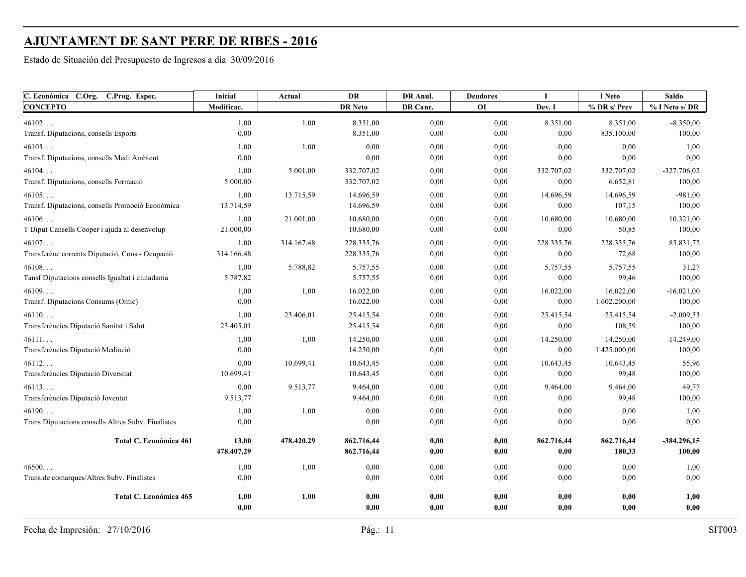| C. Económica C.Org. C.Prog. Espec.                 | Inicial    | Actual     | DR             | DR Anul. | <b>Deudores</b> | 1          | I Neto       | <b>Saldo</b>   |
|----------------------------------------------------|------------|------------|----------------|----------|-----------------|------------|--------------|----------------|
| <b>CONCEPTO</b>                                    | Modificac. |            | <b>DR</b> Neto | DR Canc. | $O$ I           | Dev. I     | % DR s/ Prev | % I Neto s/ DR |
| 46102                                              | 1,00       | 1,00       | 8.351,00       | 0,00     | 0,00            | 8.351,00   | 8.351,00     | $-8.350,00$    |
| Transf. Diputacions, consells Esports              | 0,00       |            | 8.351,00       | 0,00     | 0,00            | 0.00       | 835.100,00   | 100,00         |
| 46103                                              | 1,00       | 1,00       | 0,00           | 0,00     | 0,00            | 0.00       | 0.00         | 1,00           |
| Transf. Diputacions, consells Medi Ambient         | 0.00       |            | 0,00           | 0,00     | 0,00            | 0.00       | 0,00         | 0,00           |
| 46104                                              | 1,00       | 5.001,00   | 332.707,02     | 0,00     | 0,00            | 332.707,02 | 332.707,02   | $-327.706,02$  |
| Transf. Diputacions, consells Formació             | 5.000,00   |            | 332.707,02     | 0,00     | 0,00            | 0,00       | 6.652,81     | 100,00         |
| 46105                                              | 1,00       | 13.715,59  | 14.696,59      | 0,00     | 0,00            | 14.696,59  | 14.696,59    | $-981,00$      |
| Transf. Diputacions, consells Promoció Económica   | 13.714,59  |            | 14.696,59      | 0,00     | 0,00            | 0,00       | 107,15       | 100,00         |
| 46106                                              | 1,00       | 21.001,00  | 10.680,00      | 0,00     | 0,00            | 10.680,00  | 10.680,00    | 10.321,00      |
| T Diput Cansells Cooper i ajuda al desenvolup      | 21.000,00  |            | 10.680,00      | 0,00     | 0,00            | 0,00       | 50,85        | 100,00         |
| 46107                                              | 1,00       | 314.167,48 | 228.335,76     | 0,00     | 0,00            | 228.335,76 | 228.335,76   | 85.831,72      |
| Transferènc corrents Diputació, Cons - Ocupació    | 314.166,48 |            | 228.335,76     | 0,00     | 0,00            | 0.00       | 72,68        | 100,00         |
| 46108                                              | 1,00       | 5.788,82   | 5.757,55       | 0,00     | 0,00            | 5.757,55   | 5.757,55     | 31,27          |
| Tansf Diputacions consells Igualtat i ciutadania   | 5.787,82   |            | 5.757,55       | 0,00     | 0,00            | 0,00       | 99,46        | 100,00         |
| 46109                                              | 1,00       | 1,00       | 16.022,00      | 0,00     | 0,00            | 16.022,00  | 16.022,00    | $-16.021,00$   |
| Transf. Diputacions Consums (Omic)                 | 0,00       |            | 16.022,00      | 0,00     | 0,00            | 0.00       | 1.602.200,00 | 100,00         |
| 46110                                              | 1,00       | 23.406,01  | 25.415,54      | 0,00     | 0,00            | 25.415,54  | 25.415,54    | $-2.009,53$    |
| Transferències Diputació Sanitat i Salut           | 23.405,01  |            | 25.415,54      | 0,00     | 0,00            | 0.00       | 108,59       | 100,00         |
| 46111                                              | 1,00       | 1,00       | 14.250,00      | 0,00     | 0,00            | 14.250,00  | 14.250,00    | $-14.249,00$   |
| Transferències Diputació Mediació                  | 0,00       |            | 14.250,00      | 0,00     | 0,00            | 0,00       | 1.425.000,00 | 100,00         |
| 46112                                              | 0,00       | 10.699,41  | 10.643,45      | 0,00     | 0,00            | 10.643,45  | 10.643,45    | 55,96          |
| Transferències Diputació Diversitat                | 10.699,41  |            | 10.643,45      | 0,00     | 0,00            | 0,00       | 99,48        | 100,00         |
| 46113                                              | 0,00       | 9.513,77   | 9.464,00       | 0.00     | 0,00            | 9.464,00   | 9.464,00     | 49,77          |
| Transferències Diputació Joventut                  | 9.513,77   |            | 9.464,00       | 0,00     | 0,00            | 0,00       | 99,48        | 100,00         |
| 46190                                              | 1,00       | 1,00       | 0,00           | 0,00     | 0,00            | 0.00       | 0,00         | 1,00           |
| Trans Diputacions consells Altres Subv. Finalistes | 0,00       |            | 0,00           | 0,00     | 0,00            | 0.00       | 0,00         | 0.00           |
| Total C. Económica 461                             | 13,00      | 478.420,29 | 862.716,44     | 0,00     | 0,00            | 862.716,44 | 862.716,44   | $-384.296,15$  |
|                                                    | 478.407,29 |            | 862.716,44     | 0,00     | 0,00            | 0,00       | 180,33       | 100,00         |
| 46500                                              | 1,00       | 1,00       | 0,00           | 0,00     | 0,00            | 0,00       | 0.00         | 1,00           |
| Trans.de comarques/Altres Subv. Finalistes         | 0,00       |            | 0,00           | 0,00     | 0,00            | 0,00       | 0,00         | 0.00           |
| Total C. Económica 465                             | 1,00       | 1,00       | 0,00           | 0,00     | 0,00            | 0,00       | 0,00         | 1,00           |
|                                                    | 0,00       |            | 0,00           | 0,00     | 0,00            | 0,00       | 0,00         | 0,00           |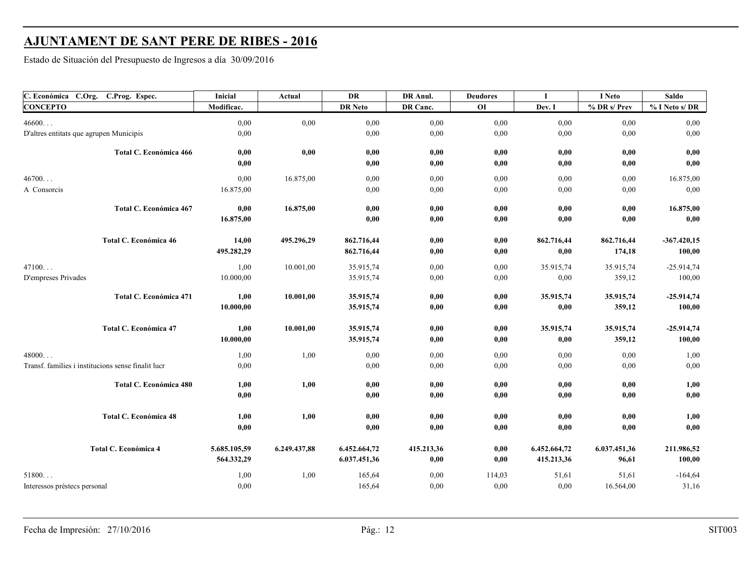| C. Económica C.Org. C.Prog. Espec.                 | Inicial      | Actual       | <b>DR</b>      | DR Anul.   | <b>Deudores</b> | 1            | I Neto       | Saldo         |
|----------------------------------------------------|--------------|--------------|----------------|------------|-----------------|--------------|--------------|---------------|
| <b>CONCEPTO</b>                                    | Modificac.   |              | <b>DR</b> Neto | DR Canc.   | $O$ I           | Dev. I       | % DR s/ Prev | % I Neto s/DR |
| 46600                                              | 0,00         | 0.00         | 0,00           | 0.00       | 0,00            | 0.00         | 0,00         | 0,00          |
| D'altres entitats que agrupen Municipis            | 0,00         |              | 0,00           | 0,00       | 0,00            | 0,00         | 0,00         | 0,00          |
|                                                    |              |              |                |            |                 |              |              |               |
| Total C. Económica 466                             | 0,00         | 0,00         | 0,00           | 0,00       | 0,00            | 0,00         | 0,00         | 0,00          |
|                                                    | 0,00         |              | 0,00           | 0,00       | 0,00            | 0,00         | 0,00         | 0,00          |
| 46700                                              | 0,00         | 16.875,00    | 0,00           | 0,00       | 0,00            | 0,00         | 0,00         | 16.875,00     |
| A Consorcis                                        | 16.875,00    |              | 0,00           | 0,00       | 0,00            | 0,00         | 0,00         | 0,00          |
| Total C. Económica 467                             | 0,00         | 16.875,00    | 0,00           | 0,00       | 0,00            | 0,00         | 0,00         | 16.875,00     |
|                                                    | 16.875,00    |              | 0,00           | 0,00       | 0,00            | 0,00         | 0,00         | 0,00          |
| Total C. Económica 46                              | 14,00        | 495.296,29   | 862.716,44     | 0,00       | 0,00            | 862.716,44   | 862.716,44   | $-367.420,15$ |
|                                                    | 495.282,29   |              | 862.716,44     | 0,00       | 0,00            | 0,00         | 174,18       | 100,00        |
| 47100                                              | 1,00         | 10.001,00    | 35.915,74      | 0.00       | 0,00            | 35.915,74    | 35.915,74    | $-25.914,74$  |
| D'empreses Privades                                | 10.000,00    |              | 35.915,74      | 0,00       | 0,00            | 0,00         | 359,12       | 100,00        |
| Total C. Económica 471                             | 1,00         | 10.001,00    | 35.915,74      | 0,00       | 0.00            | 35.915,74    | 35.915,74    | $-25.914,74$  |
|                                                    | 10.000,00    |              | 35.915,74      | 0,00       | 0,00            | 0,00         | 359,12       | 100,00        |
| <b>Total C. Económica 47</b>                       | 1,00         | 10.001,00    | 35.915,74      | 0,00       | 0,00            | 35.915,74    | 35.915,74    | $-25.914,74$  |
|                                                    | 10.000,00    |              | 35.915,74      | 0,00       | 0,00            | 0,00         | 359,12       | 100,00        |
| 48000                                              | 1,00         | 1,00         | 0,00           | 0,00       | 0,00            | 0,00         | 0,00         | 1,00          |
| Transf. families i institucions sense finalit lucr | 0.00         |              | 0,00           | 0,00       | 0,00            | 0,00         | 0.00         | 0,00          |
| Total C. Económica 480                             | 1,00         | 1,00         | 0,00           | 0,00       | 0,00            | 0,00         | 0,00         | 1,00          |
|                                                    | 0,00         |              | 0,00           | 0,00       | 0,00            | 0,00         | 0.00         | 0,00          |
| <b>Total C. Económica 48</b>                       | 1,00         | 1,00         | 0,00           | 0,00       | 0.00            | 0,00         | 0,00         | 1,00          |
|                                                    | 0,00         |              | 0,00           | 0.00       | 0,00            | 0,00         | 0,00         | 0,00          |
| Total C. Económica 4                               | 5.685.105,59 | 6.249.437,88 | 6.452.664,72   | 415.213,36 | 0,00            | 6.452.664,72 | 6.037.451,36 | 211.986,52    |
|                                                    | 564.332,29   |              | 6.037.451,36   | 0,00       | 0,00            | 415.213,36   | 96,61        | 100,00        |
| 51800                                              | 1,00         | 1,00         | 165,64         | 0.00       | 114,03          | 51,61        | 51,61        | $-164,64$     |
| Interessos préstecs personal                       | 0,00         |              | 165,64         | 0,00       | 0,00            | 0.00         | 16.564,00    | 31,16         |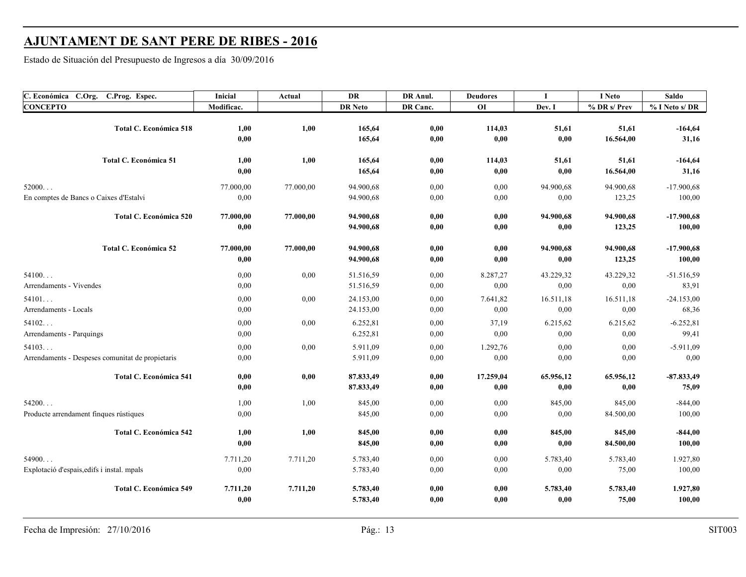| C. Económica C.Org. C.Prog. Espec.                        | Inicial           | Actual    | ${\bf D}{\bf R}$       | DR Anul.     | <b>Deudores</b>   | 1                 | I Neto              | <b>Saldo</b>           |
|-----------------------------------------------------------|-------------------|-----------|------------------------|--------------|-------------------|-------------------|---------------------|------------------------|
| <b>CONCEPTO</b>                                           | Modificac.        |           | <b>DR</b> Neto         | DR Canc.     | OI                | Dev. I            | % DR s/ Prev        | % I Neto s/DR          |
| Total C. Económica 518                                    | 1,00<br>0,00      | 1,00      | 165,64<br>165,64       | 0,00<br>0,00 | 114,03<br>0,00    | 51,61<br>0,00     | 51,61<br>16.564,00  | $-164,64$<br>31,16     |
| Total C. Económica 51                                     | 1,00<br>0,00      | 1,00      | 165,64<br>165,64       | 0,00<br>0,00 | 114,03<br>0,00    | 51,61<br>0,00     | 51,61<br>16.564,00  | $-164,64$<br>31,16     |
| 52000<br>En comptes de Bancs o Caixes d'Estalvi           | 77.000,00<br>0,00 | 77.000,00 | 94.900,68<br>94.900,68 | 0,00<br>0,00 | 0,00<br>0,00      | 94.900,68<br>0,00 | 94.900,68<br>123,25 | $-17.900,68$<br>100,00 |
| Total C. Económica 520                                    | 77.000,00<br>0.00 | 77.000,00 | 94.900,68<br>94.900,68 | 0,00<br>0.00 | 0,00<br>0.00      | 94.900,68<br>0,00 | 94.900,68<br>123,25 | $-17.900,68$<br>100,00 |
| <b>Total C. Económica 52</b>                              | 77.000,00<br>0,00 | 77.000,00 | 94.900,68<br>94.900,68 | 0,00<br>0,00 | 0.00<br>0.00      | 94.900,68<br>0,00 | 94.900,68<br>123,25 | $-17.900,68$<br>100,00 |
| 54100<br>Arrendaments - Vivendes                          | 0.00<br>0,00      | 0,00      | 51.516,59<br>51.516,59 | 0,00<br>0,00 | 8.287,27<br>0,00  | 43.229,32<br>0,00 | 43.229,32<br>0,00   | $-51.516,59$<br>83,91  |
| 54101<br>Arrendaments - Locals                            | 0,00<br>0,00      | 0,00      | 24.153,00<br>24.153,00 | 0,00<br>0,00 | 7.641,82<br>0,00  | 16.511,18<br>0,00 | 16.511,18<br>0,00   | $-24.153,00$<br>68,36  |
| 54102<br>Arrendaments - Parquings                         | 0,00<br>0,00      | 0,00      | 6.252,81<br>6.252,81   | 0,00<br>0,00 | 37,19<br>0,00     | 6.215,62<br>0,00  | 6.215,62<br>0,00    | $-6.252,81$<br>99,41   |
| 54103<br>Arrendaments - Despeses comunitat de propietaris | 0,00<br>0,00      | 0,00      | 5.911,09<br>5.911,09   | 0,00<br>0,00 | 1.292,76<br>0,00  | 0,00<br>0,00      | 0,00<br>0,00        | $-5.911,09$<br>0,00    |
| Total C. Económica 541                                    | 0,00<br>0,00      | 0,00      | 87.833,49<br>87.833,49 | 0.00<br>0,00 | 17.259,04<br>0,00 | 65.956,12<br>0,00 | 65.956,12<br>0,00   | $-87.833.49$<br>75,09  |
| 54200<br>Producte arrendament finques rústiques           | 1,00<br>0,00      | 1,00      | 845,00<br>845,00       | 0.00<br>0,00 | 0.00<br>0,00      | 845,00<br>0,00    | 845,00<br>84.500,00 | $-844,00$<br>100,00    |
| Total C. Económica 542                                    | 1,00<br>0,00      | 1,00      | 845,00<br>845,00       | 0,00<br>0,00 | 0,00<br>0,00      | 845,00<br>0,00    | 845,00<br>84.500,00 | $-844,00$<br>100,00    |
| 54900<br>Explotació d'espais, edifs i instal. mpals       | 7.711,20<br>0,00  | 7.711,20  | 5.783,40<br>5.783,40   | 0,00<br>0,00 | 0,00<br>0,00      | 5.783,40<br>0,00  | 5.783,40<br>75,00   | 1.927,80<br>100,00     |
| Total C. Económica 549                                    | 7.711,20<br>0,00  | 7.711,20  | 5.783,40<br>5.783,40   | 0,00<br>0,00 | 0,00<br>0,00      | 5.783,40<br>0,00  | 5.783,40<br>75,00   | 1.927,80<br>100,00     |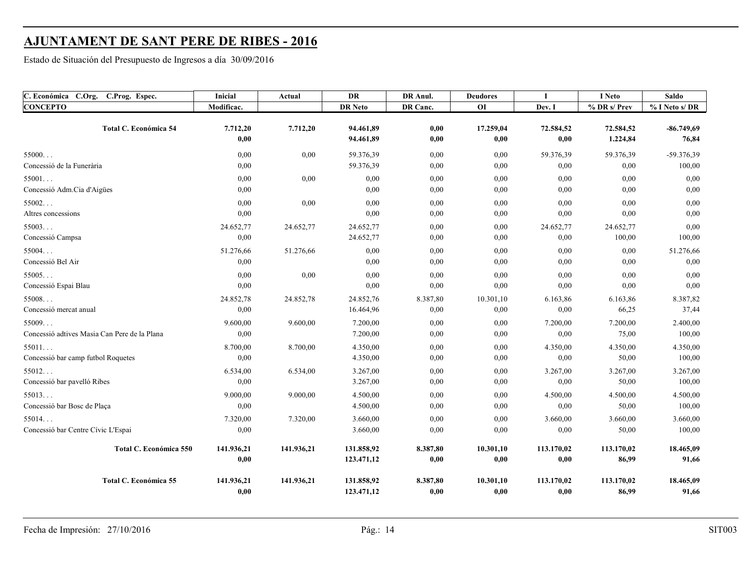| C. Económica C.Org.<br>C.Prog. Espec.        | Inicial            | Actual     | DR                       | DR Anul.         | <b>Deudores</b>   | 1                  | I Neto                | <b>Saldo</b>          |
|----------------------------------------------|--------------------|------------|--------------------------|------------------|-------------------|--------------------|-----------------------|-----------------------|
| <b>CONCEPTO</b>                              | Modificac.         |            | <b>DR</b> Neto           | DR Canc.         | <b>OI</b>         | Dev. I             | % DR s/ Prev          | $\%$ I Neto s/ DR     |
| Total C. Económica 54                        | 7.712,20<br>0,00   | 7.712,20   | 94.461.89<br>94.461,89   | 0,00<br>0,00     | 17.259,04<br>0,00 | 72.584,52<br>0,00  | 72.584,52<br>1.224,84 | $-86.749.69$<br>76,84 |
| 55000                                        | 0.00               | 0.00       | 59.376,39                | 0.00             | 0.00              | 59.376,39          | 59.376,39             | $-59.376,39$          |
| Concessió de la Funerària                    | 0,00               |            | 59.376,39                | 0,00             | 0,00              | 0,00               | 0,00                  | 100,00                |
| 55001                                        | 0,00               | 0,00       | 0,00                     | 0,00             | 0,00              | 0,00               | 0,00                  | 0,00                  |
| Concessió Adm.Cia d'Aigües                   | 0,00               |            | 0,00                     | 0,00             | 0,00              | 0,00               | 0,00                  | 0.00                  |
| 55002                                        | 0,00               | 0,00       | 0,00                     | 0,00             | 0,00              | 0.00               | 0,00                  | 0.00                  |
| Altres concessions                           | 0,00               |            | 0,00                     | 0,00             | 0,00              | 0,00               | 0.00                  | 0,00                  |
| 55003                                        | 24.652,77          | 24.652,77  | 24.652,77                | 0.00             | 0,00              | 24.652,77          | 24.652,77             | 0,00                  |
| Concessió Campsa                             | 0,00               |            | 24.652,77                | 0,00             | 0,00              | 0,00               | 100,00                | 100,00                |
| 55004                                        | 51.276,66          | 51.276,66  | 0,00                     | 0,00             | 0,00              | 0.00               | 0.00                  | 51.276,66             |
| Concessió Bel Air                            | 0,00               |            | 0,00                     | 0,00             | 0,00              | 0,00               | 0,00                  | 0,00                  |
| 55005                                        | 0,00               | 0,00       | 0,00                     | 0,00             | 0,00              | 0,00               | 0,00                  | 0,00                  |
| Concessió Espai Blau                         | 0,00               |            | 0,00                     | 0,00             | 0,00              | 0,00               | 0,00                  | 0,00                  |
| 55008                                        | 24.852,78          | 24.852,78  | 24.852,76                | 8.387,80         | 10.301,10         | 6.163,86           | 6.163,86              | 8.387,82              |
| Concessió mercat anual                       | 0,00               |            | 16.464,96                | 0,00             | 0,00              | 0,00               | 66,25                 | 37,44                 |
| 55009                                        | 9.600,00           | 9.600,00   | 7.200,00                 | 0,00             | 0,00              | 7.200,00           | 7.200,00              | 2.400,00              |
| Concessió adtives Masia Can Pere de la Plana | 0,00               |            | 7.200,00                 | 0,00             | 0,00              | 0.00               | 75,00                 | 100,00                |
| 55011                                        | 8.700,00           | 8.700,00   | 4.350,00                 | 0,00             | 0,00              | 4.350,00           | 4.350,00              | 4.350,00              |
| Concessió bar camp futbol Roquetes           | 0,00               |            | 4.350,00                 | 0,00             | 0,00              | 0,00               | 50,00                 | 100,00                |
| 55012                                        | 6.534,00           | 6.534,00   | 3.267,00                 | 0,00             | 0,00              | 3.267,00           | 3.267,00              | 3.267,00              |
| Concessió bar pavelló Ribes                  | 0,00               |            | 3.267,00                 | 0,00             | 0,00              | 0,00               | 50,00                 | 100,00                |
| 55013                                        | 9.000,00           | 9.000,00   | 4.500,00                 | 0,00             | 0,00              | 4.500,00           | 4.500,00              | 4.500,00              |
| Concessió bar Bosc de Plaça                  | 0,00               |            | 4.500,00                 | 0,00             | 0,00              | 0,00               | 50,00                 | 100,00                |
| 55014                                        | 7.320,00           | 7.320,00   | 3.660,00                 | 0,00             | 0,00              | 3.660,00           | 3.660,00              | 3.660,00              |
| Concessió bar Centre Cívic L'Espai           | 0,00               |            | 3.660,00                 | 0,00             | 0,00              | 0,00               | 50,00                 | 100,00                |
| Total C. Económica 550                       | 141.936,21<br>0,00 | 141.936,21 | 131.858,92<br>123.471,12 | 8.387,80<br>0,00 | 10.301,10<br>0,00 | 113.170,02<br>0,00 | 113.170,02<br>86,99   | 18.465,09<br>91,66    |
| Total C. Económica 55                        | 141.936,21<br>0,00 | 141.936,21 | 131.858,92<br>123.471,12 | 8.387,80<br>0,00 | 10.301,10<br>0,00 | 113.170,02<br>0,00 | 113.170,02<br>86,99   | 18.465,09<br>91,66    |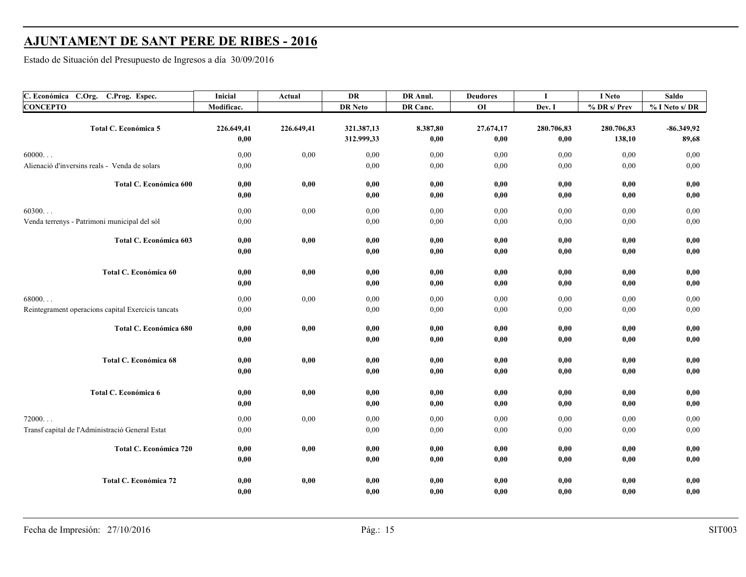| C. Económica C.Org. C.Prog. Espec.                          | Inicial            | Actual     | ${\bf D}{\bf R}$         | DR Anul.         | <b>Deudores</b>   | 1                  | <b>I</b> Neto        | Saldo                 |
|-------------------------------------------------------------|--------------------|------------|--------------------------|------------------|-------------------|--------------------|----------------------|-----------------------|
| <b>CONCEPTO</b>                                             | Modificac.         |            | <b>DR</b> Neto           | DR Canc.         | <b>OI</b>         | Dev. I             | % DR s/ Prev         | % I Neto s/DR         |
| Total C. Económica 5                                        | 226.649,41<br>0,00 | 226.649,41 | 321.387,13<br>312.999,33 | 8.387,80<br>0,00 | 27.674,17<br>0,00 | 280.706,83<br>0,00 | 280.706,83<br>138,10 | $-86.349,92$<br>89,68 |
| 60000<br>Alienació d'inversins reals - Venda de solars      | 0,00<br>0,00       | 0,00       | 0,00<br>0,00             | 0,00<br>0,00     | 0,00<br>0,00      | 0,00<br>0,00       | 0,00<br>0,00         | 0,00<br>0,00          |
| Total C. Económica 600                                      | 0,00<br>0,00       | 0,00       | 0,00<br>0,00             | 0.00<br>0,00     | 0.00<br>0,00      | 0,00<br>0,00       | 0,00<br>0,00         | 0,00<br>0,00          |
| 60300<br>Venda terrenys - Patrimoni municipal del sól       | 0,00<br>0,00       | 0,00       | 0,00<br>0,00             | 0.00<br>0,00     | 0,00<br>0,00      | 0.00<br>0,00       | 0,00<br>0,00         | 0,00<br>0,00          |
| Total C. Económica 603                                      | 0,00<br>0,00       | 0,00       | 0,00<br>0,00             | 0,00<br>0,00     | 0.00<br>0,00      | 0,00<br>0,00       | 0,00<br>0,00         | 0,00<br>0,00          |
| Total C. Económica 60                                       | 0,00<br>0,00       | 0,00       | 0,00<br>0,00             | 0,00<br>0,00     | 0,00<br>0,00      | 0,00<br>0,00       | 0,00<br>0,00         | 0,00<br>0,00          |
| 68000<br>Reintegrament operacions capital Exercicis tancats | 0,00<br>0,00       | 0.00       | 0,00<br>0,00             | 0.00<br>0,00     | 0,00<br>0,00      | 0.00<br>0,00       | 0,00<br>0,00         | 0,00<br>0,00          |
| Total C. Económica 680                                      | 0,00<br>0,00       | 0,00       | 0,00<br>0,00             | 0,00<br>0,00     | 0,00<br>0,00      | 0,00<br>0,00       | 0,00<br>0,00         | 0,00<br>0,00          |
| Total C. Económica 68                                       | 0,00<br>0,00       | 0,00       | 0,00<br>0,00             | 0,00<br>0,00     | 0,00<br>0,00      | 0,00<br>0,00       | 0,00<br>0,00         | 0,00<br>0,00          |
| Total C. Económica 6                                        | 0,00<br>0,00       | 0,00       | 0,00<br>0,00             | 0.00<br>0,00     | 0.00<br>0,00      | 0,00<br>0,00       | 0,00<br>0,00         | 0,00<br>0,00          |
| 72000<br>Transf capital de l'Administració General Estat    | 0,00<br>0.00       | 0,00       | 0,00<br>0,00             | 0,00<br>0.00     | 0,00<br>0,00      | 0,00<br>0.00       | 0,00<br>0,00         | 0,00<br>0,00          |
| Total C. Económica 720                                      | 0,00<br>0,00       | 0,00       | 0,00<br>0,00             | 0.00<br>0,00     | 0,00<br>0,00      | 0,00<br>0,00       | 0,00<br>0,00         | 0,00<br>0,00          |
| Total C. Económica 72                                       | 0,00<br>0,00       | 0,00       | 0,00<br>0,00             | 0,00<br>0,00     | 0,00<br>0,00      | 0,00<br>0,00       | 0,00<br>0,00         | 0,00<br>0,00          |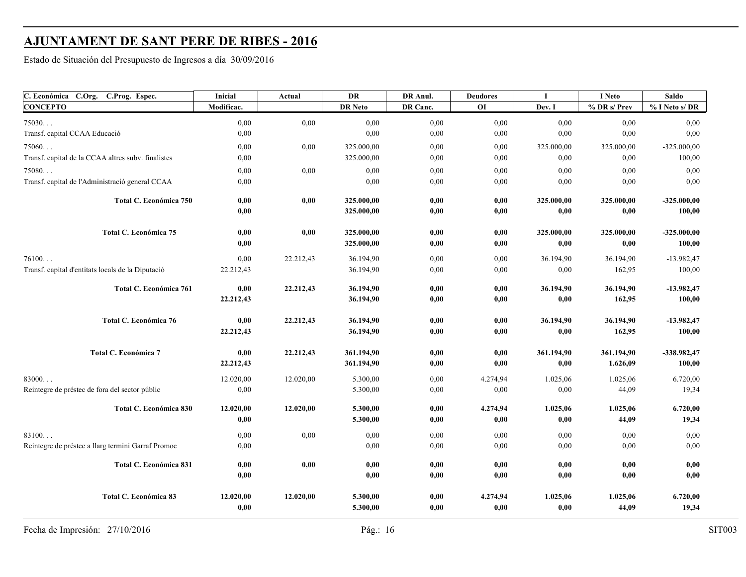| C. Económica C.Org.<br>C.Prog. Espec.              | Inicial    | Actual    | <b>DR</b>      | DR Anul. | <b>Deudores</b> | L          | I Neto       | <b>Saldo</b>  |
|----------------------------------------------------|------------|-----------|----------------|----------|-----------------|------------|--------------|---------------|
| <b>CONCEPTO</b>                                    | Modificac. |           | <b>DR</b> Neto | DR Canc. | $O$ I           | Dev. I     | % DR s/ Prev | % I Neto s/DR |
| 75030                                              | 0,00       | 0,00      | 0.00           | 0,00     | 0.00            | 0.00       | 0,00         | 0,00          |
| Transf. capital CCAA Educació                      | 0,00       |           | 0,00           | 0,00     | 0,00            | 0,00       | 0,00         | 0,00          |
| 75060                                              | 0.00       | 0,00      | 325.000,00     | 0.00     | 0,00            | 325.000,00 | 325.000,00   | $-325.000,00$ |
| Transf. capital de la CCAA altres subv. finalistes | 0,00       |           | 325.000,00     | 0,00     | 0,00            | 0,00       | 0,00         | 100,00        |
| 75080                                              | 0,00       | 0,00      | 0,00           | 0,00     | 0,00            | 0,00       | 0,00         | 0,00          |
| Transf. capital de l'Administració general CCAA    | 0,00       |           | 0,00           | 0,00     | 0,00            | 0,00       | 0,00         | 0.00          |
| Total C. Económica 750                             | 0.00       | 0,00      | 325.000,00     | 0,00     | 0,00            | 325.000,00 | 325.000,00   | $-325.000.00$ |
|                                                    | 0,00       |           | 325.000,00     | 0,00     | 0,00            | 0,00       | 0,00         | 100,00        |
| Total C. Económica 75                              | 0.00       | 0.00      | 325.000,00     | 0,00     | 0,00            | 325.000,00 | 325.000,00   | $-325.000,00$ |
|                                                    | 0,00       |           | 325.000,00     | 0,00     | 0,00            | 0,00       | 0,00         | 100,00        |
| 76100                                              | 0,00       | 22.212,43 | 36.194,90      | 0,00     | 0,00            | 36.194,90  | 36.194,90    | $-13.982,47$  |
| Transf. capital d'entitats locals de la Diputació  | 22.212,43  |           | 36.194,90      | 0,00     | 0,00            | 0.00       | 162,95       | 100,00        |
| Total C. Económica 761                             | 0,00       | 22.212,43 | 36.194,90      | 0,00     | 0,00            | 36.194,90  | 36.194,90    | $-13.982,47$  |
|                                                    | 22.212,43  |           | 36.194,90      | 0,00     | 0,00            | 0,00       | 162,95       | 100,00        |
| Total C. Económica 76                              | 0,00       | 22.212,43 | 36.194,90      | 0,00     | 0,00            | 36.194,90  | 36.194,90    | $-13.982,47$  |
|                                                    | 22.212,43  |           | 36.194,90      | 0,00     | 0,00            | 0,00       | 162,95       | 100,00        |
| Total C. Económica 7                               | 0.00       | 22.212,43 | 361.194,90     | 0.00     | 0,00            | 361.194,90 | 361.194,90   | -338.982,47   |
|                                                    | 22.212,43  |           | 361.194,90     | 0,00     | 0,00            | 0,00       | 1.626,09     | 100,00        |
| 83000                                              | 12.020,00  | 12.020,00 | 5.300,00       | 0,00     | 4.274,94        | 1.025,06   | 1.025,06     | 6.720,00      |
| Reintegre de préstec de fora del sector públic     | 0,00       |           | 5.300,00       | 0,00     | 0,00            | 0.00       | 44,09        | 19,34         |
| Total C. Económica 830                             | 12.020,00  | 12.020,00 | 5.300,00       | 0,00     | 4.274,94        | 1.025,06   | 1.025,06     | 6.720,00      |
|                                                    | 0,00       |           | 5.300,00       | 0,00     | 0,00            | 0,00       | 44,09        | 19,34         |
| 83100                                              | 0.00       | 0,00      | 0,00           | 0,00     | 0,00            | 0.00       | 0.00         | 0.00          |
| Reintegre de préstec a llarg termini Garraf Promoc | 0,00       |           | 0,00           | 0,00     | 0,00            | 0,00       | 0,00         | 0,00          |
| <b>Total C. Económica 831</b>                      | 0.00       | 0,00      | 0,00           | 0,00     | 0,00            | 0,00       | 0,00         | 0,00          |
|                                                    | 0,00       |           | 0,00           | 0,00     | 0,00            | 0,00       | 0,00         | 0,00          |
| <b>Total C. Económica 83</b>                       | 12.020,00  | 12.020,00 | 5.300,00       | 0.00     | 4.274,94        | 1.025,06   | 1.025,06     | 6.720,00      |
|                                                    | 0.00       |           | 5.300,00       | 0.00     | 0,00            | 0,00       | 44,09        | 19,34         |